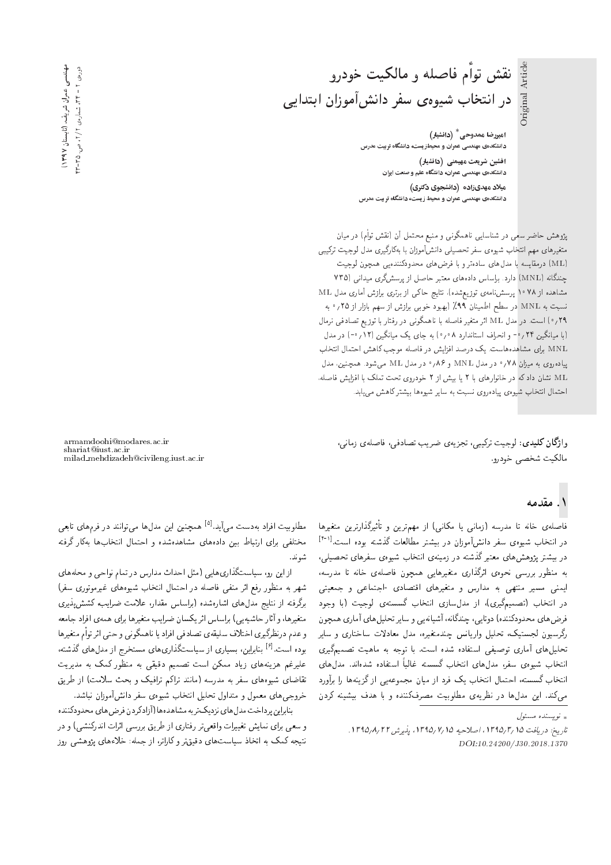امیررضا ممدوحی <sup>\*</sup> (دانشیار) دانشکدهی مهندسی عمران و محیطزیست، دانشگاه تربیت مدرس افشین شریعت مهیمنی (دانشیار) دانشکدهی مهندسی عمران، دانشگاه علم و صنعت ایران میلاد مهدیزاده (دانشجوی دکتری) دانشکدهی مهندسی عمران و محیط زیست، دانشگاه تربیت مدرس

پژوهش حاضر سعی در شناسایی ناهمگونی و منبع محتمل آن (نقش توأم) در میان متغیرهای مهم انتخاب شیوهی سفر تحصیلی دانشآموزان با بهکارگیری مدل لوجیت ترکیبی (ML) درمقایسه با مدل های سادهتر و با فرض های محدودکنندهیی همچون لوجیت چندگانه (MNL) دارد. براساس دادههای معتبر حاصل از پرسشگری میدانی (۷۳۵ مشاهده از ۱۰۷۸ پرسش نامهی توزیع شده). نتایج حاکی از برتری برازش آماری مدل ML نسبت به MNL در سطح اطمينان ٩٩٪ (بهبود خوبي برازش از سهم بازار از ٢٥ / ° به ۰/۹) است. در مدل ML اثر متغیر فاصله با ناهمگونی در رفتار با توزیع تصادفی نرمال (با میانگین ۲۴ / °- و انحراف استاندارد ۸ ° / °) به جای یک میانگین (۱۲ / ° -) در مدل MNL برای مشاهدههاست. یک درصد افزایش در فاصله موجب کاهش احتمال انتخاب پیاده روی به میژان ۰٫۷۸ در مدل MNL و ۸۶٫۰ در مدل ML میشود. همچنین، مدل نشان داد که در خانوارهای با ۲ یا ببش از ۲ خودروی تحت تملک با افزایش فاصله، احتمال انتخاب شيوهي يياده روى نسبت به ساير شيوهها بيشتركاهش مى يابد.

وا**ژگان کلیدی**: لوجیت ترکیبی، تجزیهی ضریب تصادفی، فاصلهی زمانی، مالكيت شخصي خودرو.

#### ۱. مقدمه

فاصلهی خانه تا مدرسه (زمانی یا مکانی) از مهمترین و تاتیرندارترین متعیرها<br>-<br>- این این این آین آین تا این تقرار این مقدمت در انتخاب شیوهی سفر دانشآموزان در بیشتر مطالعات گذشته بوده است.<sup>[۱۶]</sup><br>گذشته در بیشتر پژوهشهای معتبرگذشته در زمینهی انتخاب شیوهی سفرهای تحصیلی،<br>به منظور بررسی نحوهی اثرگذاری متغیرهایی همچون فاصلهی خانه تا مدرسه، به منطور بررسی تحوهی ابرنداری منغیرهایی همچون فاصلهی حاته با مدرسه،<br>ا ایمنی مسیر منتهی به مدارس و متغیرهای اقتصادی -اجتماعی و جمعیتی<br>استان ایران کسب ایران استان استان گ OwHw =@ C}Hwr |xDUUo ?=NDv= |R=UpOt R= '|Q}os}tYD ?=NDv= QO درص های محدودنسده) دونایی، چمدنانه، اسیانهیی و سایر تحلیل های آماری همچون<br>گرفت این این محدودنسده) ایران این محمد بین میدان ایران رگرسیون لجستیک، تحلیل واریانس چندمتغیرہ، مدل معادلات ساختاری و سایر<br>تحلیلhهای آماری توصیفی استفاده شده است. با توجه به ماهیت تصمیمگیری لحلیل های آماری توضیقی استفاده سده است. با توجه به ماهیت تصمیم دری<br>این است از این است است است است که استفاده استفاده استفاده انتخاب شیوهی سفر، مدل۱های انتخاب کسسته غالبا استفاده شدهاند. مدل۱های<br>این این گر انتخاب گسسته، احتمال انتخاب یک فرد از میان مجموعهیی از گزینهها را برآورد میکند. این مدلها در نظریهی مطلوبیت مصرفکننده و با هدف بیشینه کردن

armamdoohi@modares.ac.ir shariat@iust.ac.ir milad mehdizadeh@civileng.iust.ac.ir

مطلوبیت افراد بهدست می آید.<sup>[۵]</sup> همچنین این مدل۵ می توانند در فرمهای تابعی<br>مقابله مسلمان ایران مختلفی برای ارتباط بین دادههای مشاهدهشده و احتمال انتخابها بهکار گرفته شوند.

|زاین رو، سیاستگذاری،ایی (مثل احداث مدارس در تمام نواحی و محلههای شهر به منظور رفع اثر منفى فاصله در احتمال انتخاب شيوههاى غيرموتورى سفر) برگرفته از نتایج مدل های اشارهشده (برلساس مقدار، علامت ضرایب، کشش یذیری متغیرها، و آثار حاشیهیی) براساس اثر یکسان ضرایب متغیرها برای همهی افراد جامعه و عدم درنظرگیری اختلاف سلیقهی تصادفی افراد یا ناهمگونی و حتی اثر توأم متغیرها بوده است.<sup>[۶]</sup> بنابراین، بسیاری از سیاستگذاری های مستخرج از مدل های گذشته،<br>پایدن علیرغم هزینههای زیاد ممکن است تصمیم دقیقی به منظور کمک به مدیریت تقاضای شیوههای سفر به مدرسه (مانند تراکم ترافیک و بحث سلامت) از طریق خروجي هاى معمول و متداول تحليل انتخاب شيوهى سفر دانش آموزان نباشد.

بنابراين پرداخت مدل هاى نزديك تربه مشاهدهها (آزاد كردن فرض هاى محدودكننده و سعی برای نمایش تغییرات واقعی تر رفتاری از طریق بررسی اثرات اندرکنشی) و در نتیجه کمک به اتخاذ سیاست های دقیقتر و کاراتر، از جمله: خلاءهای پژوهشی روز

 $\int_{\mathbb{R}}$ نو سېئلاه مېسئول  $\mathbb{R}$ 

تاريخ: دريافت ١٣٩٥/٢/١٣٩٥، اصلاحيه ١٣٩٥/٧/١٥ يذيوش ١٣٩٥/٨/٢٢. DOI:10.24200/J30.2018.1370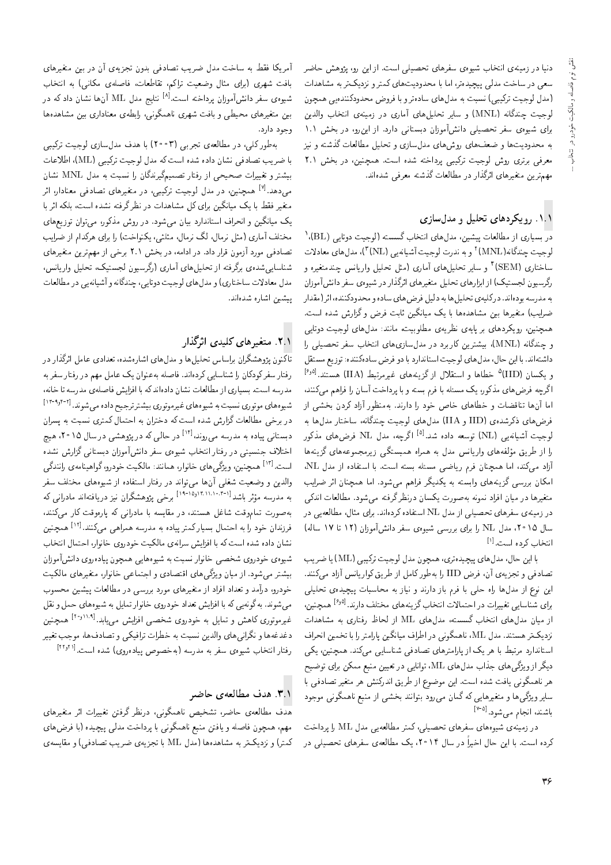دنیا در زمینهی انتخاب شیوهی سفرهای تحصیلی است. از این رو، پژوهش حاضر<br>سعی در ساخت مدلی پیچیدهتر، اما با محدودیتهای کمتر و نزدیکتر به مشاهدات (مدل لوجیت ترکیبی) نسبت به مدل های سادهتر و با فروض محدودکننده یی همچون امدل نوجیت ،رتیبیی استبت به مدل های ساده رو با فروض محدودنسده یی همچون<br>استان است اسکان ( ۱۸۸۹ میلیود و اسلام آباد لوجیت چندگانه (MNL) و سایر تحلیل۵مای آماری در زمینهی انتخاب والدین<br>اما میستماید و سایت آمان آمان استان استان استان استان برای سیوهی سفر تحصیلی داسراموزان دبستانی دارد. از این رو، در بحس ۱۰۱<br>۲۰۰۰ - استخدام استخدام استخدام استخدام استخدام استخدام کنید. به محدودیت ها و صعف های روس های مدل سازی و تحلیل مطالعات ددسته و نیز<br>۷۰۰ - سمیت است و سویر و ساخت می است. معرفی برتری روش لوجیت ترکیبی پرداخته شده است. همچنین، در بخش ۲.۱ مهمترين متغيرهاي اثرگذار در مطالعات گذشته معرفي شدهاند.

#### .۸۱ رویکردهای تحلیل و مدلسازی

در بسیاری از مطالعات پیشین، مدل های انتخاب گسسته (لوجیت دوتایی (BL).'<br>استقدام الکلمه۱۱ آلموسی و مسئل میدان با استقلال ماسطور استقلال لوجیت چندگانه(MNL)' و به ندرت لوجیت آشیانهیی (VL)')، مدل های معادلات<br>ساحات ماه ۱۳۹۸ و سایر تحلیل های آماری (مثل تحلیل واریانس چندمنغیره و<br>الطباب میلیان میدان استفاده ساختاری (SEM)'<br>گ ردرسیون لجستیک) از ابزارهای تحلیل متعیرهای اثرلدار در سیوهی شفر دانش اموزان<br>این کسی این سی کلس سی از این این این در این این این این کسی این این به مدرسه بودهاند. درکلیهی تحلیل ها به دلیل فرض های ساده و محدودکننده، اثر(مقدار<br>ضرایب) متغیرها بین مشاهدهها با یک میانگین ثابت فرض و گزارش شده است. "CU= xOW VQ=Ro w ZQi C@=F u}ov=}t l} =@ =yxOy=Wt u}@ =yQ}eDt ?}=Q[ همچنین، رویدردهای بر پایهی نظریهی مظلوبیت، مانند: مدل های نوجیت دونایی<br>مستقل از اینکه استفادهای است. و چندگانه (MNL)، بیشترین کاربرد در مدلسازی،های انتخاب سفر تحصیلی را<br>داشتهاند. با این حال، مدل های لوجیت استاندارد با دو فرض سادهکننده: توزیع مستقل داسته اند. با این حال، مدل های نوجیت استاندارد با دو فرض ساده دسده: نوز یع مستقل<br>و یکسان (IID<sup>) ۵</sup> خطاها و استقلال از گزینه های غیرمرتبط (IIA) هستند.<sup>[69]</sup><br>اگر میدن در سالم مانک میکرد که سالم این میان این میدان با این این اگرچه فرض های مذکور، یک مسئله با فرم بسته و با پرداخت آسان را فراهم مه کنند، اما آنها تناقضات و خطاهای خاص خود را دارند. بهمنظور آزاد کردن بخشبی از فرض های ذکرشدهی (IID و IIA) مدل های لوجیت چندگانه، ساختار مدل ها به لوجیت أشیانه یی (NL) توسعه داده شد.<sup>[6]</sup> اگرچه، مدل NL فرض های مذکور<br>ایران باید این ایران ایران را از طریق مولفه های واریانس مدل به همراه همبستگی زیرمجموعه های درینه ها<br>آیام - کن از از محیط نفس از محل است از سوال استاد را با آیام است. أزاد مىكند، اما همچنان فرم رياضى مسئله بسته است. با استفاده از مدل NL،<br>ايمان مىليات گرد است است كريم كردان مىش كرد ايل مىليات مىليات مىليات امکان بررسی گزینههای وابسته به یکدیگر فراهم میشود. اما همچنان اثر ضرایب<br>متغیرها در میان افراد نمونه بهصورت یکسان درنظرگرفته میشود. مطالعات اندکی |mOv= C=ar=]t "OwW|t xDiQo Q\_vQO u=Um} CQwYx@ xvwtv O=Qi= u=}t QO =yQ}eDt در زمینهی سفرهای تحصیلی از مدل NL استفاده کردهاند. برای مثال، مطالعه یی در<br>۷٫۱ هجدی میسید و و از ایران سال ۱۵°۲، مدل NL را برای بررسی شیوهی سفر دانشآموزان (۱۲ تا ۱۷ ساله) انتخاب كرده است.<sup>[۱]</sup><br>مالكستان

با این حال، مدل های پیچیدهتری، همچون مدل لوجیت ترکیبی (ML) یا ضریب تصادفی و تجزیهی آن، فرض IID را بهطور کامل از طریق کواریانس آزاد میکنند.<br>این نوع از مدل۱ه راه حلی با فرم باز دارند و نیاز به محاسبات پیچیدهی تحلیلی این نوع از مدلها راه حلی با قرم باز دارند و نیاز به محاسبات پیچیدهی تحلیلی<br>برای شناساته تغییرات در احتمالات انتخاب گی بنههای مختلف دارند.<sup>[۶٫۵]</sup> همچنین برای سناسایی تعییرات در احتمالات اسحاب تریمه های محتلف دارند.<br>استان استان استان استان گفت: استان استان استان استان استان استان استان از میان مدل های انتخاب گسسته، مدل های ML از لحاظ رفتاری به مشاهدات<br>در کرد و سعید از ۱۹۸۲ بارگرد به ایلمند بارگرد اول برای بار در بار نزدیکتر هستند. مدل ML، ناهمگونی در اطراف میانگین پارامتر را با تخمین انحراف<br>استاندارد مرتبط با هر یک از پارامترهای تصادفی شناسایی میکند. همچنین، یکی |سناندارد مرتبط با هر یک از پارامبرهای تصادفی سناسایی می(شد. همچنین، یدی<br>مگر است دیگر از ویژگی های جذاب مدل های ML، توانایی در تعیین منبع ممکن برای توضیح<br>دیگر از ویژگی های مسلمان است. هر ناهمگونی یافت شده است. این موضوع از طریق اندرکنش هر متغیر تصادفی با سایر ویژگیها و متغیرهایی که گمان میررود بتوانند بخشی از منبع ناهمگونی موجود باشند، انجام مىشود.<sup>[۵-۷]</sup><br>.

در زمینهی شیوههای سفرهای تحصیلی، کمتر مطالعهیی مدل ML را پرداخت کرده است. با این حال اخیراً در سال ۲۰۱۴، یک مطالعهی سفرهای تحصیلی در

آمریکا فقط به ساخت مدل ضریب تصادفی بدون تجزیهی آن در بین متغیرهای بافت شهرى (براى مثال وضعيت تراكم، تقاطعات، فاصلهى مكانى) به انتخاب شیوه،ی سفر دانش[موزان پرداخته است.<sup>[۸]</sup> نتایج مدل ML آنها نشان دادکه در<br>. بین متغیرهای محیطی و بافت شهری ناهمگونی، رابطهی معناداری بین مشاهدهها وجود دارد.

به طور كلبي، در مطالعه ي تجربي (٢٥٥٣) با هدف مدل سازي لوجيت تركيبي با ضريب تصادفي نشان داده شده است كه مدل لوجيت تركيبي (ML)، اطلاعات بیشتر و تغییرات صحیحی از رفتار تصمیمگیرندگان را نسبت به مدل MNL نشان میدهد<sup>.[۷]</sup> همچنین، در مدل لوجیت ترکیبی، در متغیرهای تصادف<sub>ی</sub> معنادار، اثر<br>میسکند اسلام استفاده استفاده استفاده استفاده میشود. متغیر فقط با یک میانگین برای کل مشاهدات در نظر گرفته نشده است، بلکه اثر با<br>یک میانگین و انحراف استاندارد بیان میهشود. در روش مذکور، میهتوان توزیعهای یک میانگین و انجراف استاندارد بیان می سود. در روس مدلور، می توان توزیع های<br>میان آیا مطلب اینکار که در اینکار می کنار می اینکار اینکی اینک ?}=Q[ R= s=OmQy |=Q@ =Q CN=wvm} '|FrFt 'p=tQv nr 'p=tQv pFt |Q=t; hrDNt تصادفی مورد آزمون قرار داد. در ادامه، در بخش ۲.۱ برخی از مهمترین متغیرهای<br>شناسایی شدهی برگرفته از تحلیل های آماری (رگرسیون لجستیک، تحلیل واریانس، سناساییسده) بردرفته از تحلیل های آماری آردرسیون لجستیک، تحلیل واریاس،<br>سامانهای این سایت استان استان استان مدل معادلات ساحداری) و مدل های توجیب دونایی، چمددانه و اسیانه یی در مصابعات<br>. يبشين اشاره شدهاند.

#### ۲.۱. متغیرهای کلیدی اثرگذار

تاكنون يژوهشگران براساس تحليلها و مدلهاي اشارهشده، تعدادي عامل اثرگذار در رفتار سفرکودکان را شناسایی کردهاند. فاصله بهعنوان یک عامل مهم در رفتار سفر به<br>مدرسه است. بسیاری از مطالعات نشان دادهاندکه با افزایش فاصلهی مدرسه تا خانه، مدرسه است. بسیاری از مصالعات ستان داده مدله با افزایش فاصلهی مدرسه با حاله،<br>شیوههای موتوری نسبت به شیوههای غیرموتوری بیشتر تر جیج داده میرشوند. <sup>[۲-۹</sup>۰۴<sup>]</sup> در برخی مطالعات گزارش شده است که دختران به احتمال کمتری نسبت به پسران در برخی مطالعات درارس سده است له دحتران به احتمال لمتری سببت به پسران<br>مساحات است. دبستانی پیاده به مدرسه می روند،<sup>[۱۶]</sup> در حالی که در پژوهشی در سال ۲۰۱۵، هیچ<br>اختلانی پیده و مستقل انتخاب شد. احتلاف جنسیتی در رفتار انتخاب سیوەی شفر دانس اموران دبستانی درارس نسده<br>است.<sup>|۱۲]</sup> همچنین، و ب<sup>ی</sup>گر های خانوان همانند: مالکیت خودرو، گواهینامهی رانندگ*ی* است. \*\*\* همچنین، و پرتی های حانوار، همانند: مانگلیت خودرو، نواهینامهی رانندنی<br>الما والدین و وصعیت سعلی آن۵۱ می تواند در رفتار استفاده از سیوههای محتلف سفر<br>وی این این این این (۱۵۰۱-۱۵۱) می ساخت است. ثر باشد<sup>ا (۱۹</sup>۰۱٬۱۱۱٬۰۴۰٬۱۰۱٬۰۳۰) برخی پژوهشگران نیز دریافتهاند مادرانی که<br>مقدمات استفاده است. به مدرسه مو<br>... بهصورت تماموقت ساعل هستند، در مقایسه با مادرانی که پارهوقت کار میکنند،<br>\* مقایست و است است است است و در است فرزندان خود را به احتمال بسیارکمتر پیاده به مدرسه همراهی میکنند.<sup>[۱۲]</sup> همچنین<br>نشار با به همدراری کرمانشاه و سال میلیانم به منصوب نازار ارتبال اینتخار نشان داده شده است که با افزایش سرانهی مالکیت خودروی خانوار، احتمال انتخاب<br>شیوهی خودروی شخصبی خانوار نسبت به شیوههایی همچون پیادهروی دانش[موزان بیشتر می شود. از میان ویژگی های اقتصادی و اجتماعی خانوار، متغیرهای مالکیت بیستر می سود. از میان ویژنی های اقتصادی و اجتماعی حانوار، معیرهای مالکیت<br>مسابقه حودرو، درآمد و نقداد افراد از متغیرهای مورد بررسی در مطالعات پیسین محسوب<br>استفاده استفاده از این استفاده استفاده استفاده استفاده می سوند. به تونه یی که با افزایش تعداد خودروی خانوار نمایل به سیوههای حمل و نقل<br>غدرموتوری کاهش و تمایل به خودروی شخصیر افزایش میرباید.<sup>[۱۱٬۹</sup>۰<sup>۱٬۹۶]</sup> همچنین u}vJty "O@=}|t V}=Ri= |YNW |wQOwN x@ p}=tD w Vy=m |QwDwtQ}e دعدعه ها و ندرانی های والدین نسبت به حضرات نزافیدی و نصادف ها، موجب نعییر<br>رفتار انتخاب شیوهی سفر به مدرسه (بهخصوص پیادهروی) شده است.<sup>[۲۲٫۲۱]</sup>

#### ۳.۱٪. هدف مطالعه ی حاضر

هدف مطالعهى حاضر، تشخيص ناهمگونى، درنظر گرفتن تغييرات اثر متغيرهاى مهم، همچون فاصله و یافتن منبع ناهمگونی با پرداخت مدلبی پیچیده (با فرضهای کمتر) و نزدیکتر به مشاهدهها (مدل ML با تجزیهی ضریب تصادفی) و مقایسهی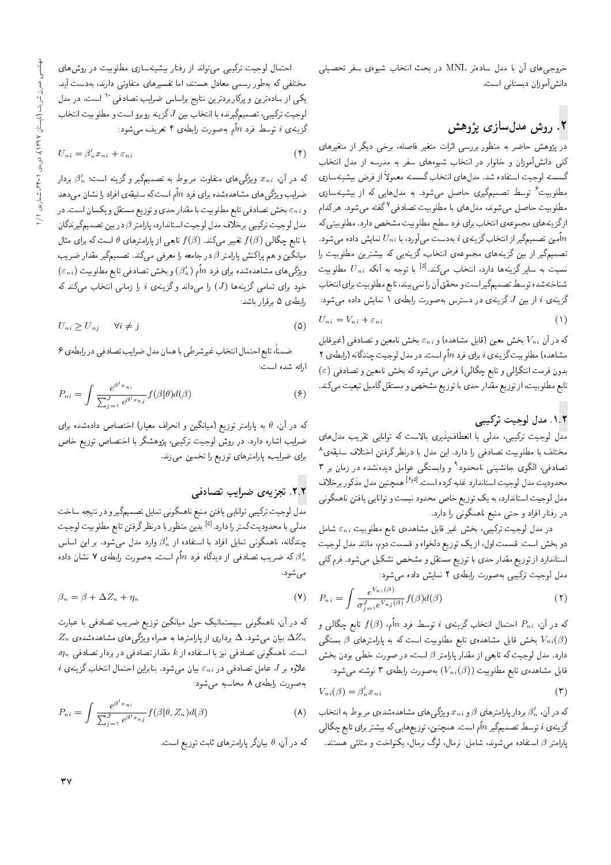خروجی&ای آن با مدل سادهتر MNL در بحث انتخاب شیوهی سفر تحصیلی دانشآموزان دبستانی است.

# ۲. روش مدلسازی پژوهش

در پژوهش حاضر به منظور بررسی اثرات متغیر فاصله، برخی دیگر از متغیرهای کلی دانشآموزان و خانوار در انتخاب شیوههای سفر به مدرسه از مدل انتخاب گسسته لوجیت استفاده شد. مدلهای انتخاب گسسته معمولاً از فرض بیشینهسازی مطلوبیت<sup>۶</sup> توسط تصمیمگیری حاصل میشود. به مدلهایی که از بیشینهسازی مطلوبیت حاصل میشوند، مدلهای با مطلوبیت تصادفی<sup>۷</sup>گفته میشود. هرکدام ازگزینههای مجموعهی انتخاب برای فرد سطح مطلوبیت مشخص دارد. مطلوبیتی که امین تصمیمگیر از انتخاب گزینهی i بهدست میآورد، با  $U_{ni}$  نمایش داده میشود. $\overline{n}$ تصمیمگیر از بین گزینههای مجموعهی انتخاب، گزینهیی که بیشترین مطلوبیت را نسبت به سایرگزینهها دارد، انتخاب میکند. $^{\text{[a]}}$  با توجه به آنکه  $U_{n\,i}$  مطلوبیت شناختهشده توسط تصميمگيراست و محقق أن را نمي بيند، تابع مطلوبيت براي انتخاب گزینهی i از بین J گزینهی در دسترس بهصورت رابطهی ۱ نمایش داده میشود:

$$
U_{ni} = V_{ni} + \varepsilon_{ni} \tag{1}
$$

که در آن  $V_{ni}$  بخش معین (قابل مشاهده) و  $\varepsilon_{ni}$  بخش نامعین و تصادفی (غیرقابل مشاهده) مطلوبيت گزينهي i براي فرد nأم است. در مدل لوجيت چندگانه (رابطهي ٢ بدون فرمت انتگرالی و تابع چگالی) فرض میشود که بخش نامعین و تصادفی (٤) تابع مطلوبیت، از توزیع مقدار حدی با توزیع مشخص و مستقل گامبل تبعیت میكند.

## ٠١.٢ مدل لوجيت تركيبي

۔<br>مدل لوجیت ترکیبی، مدل<sub>ی</sub> با انعطافپذیری بالاست که توانایی تقریب مدل<mark>ء</mark>ای مختلف با مطلوبیت تصادفی را دارد. این مدل با درنظر گرفتن اختلاف سلیقه، تصادفی، الگوی جانشینی نامحدود<sup>۹</sup> و وابستگی عوامل دیدهنشده در زمان بر ۳ محدوديت مدل لوجيت استاندارد غلبه كرده است.<sup>[9</sup>9] همچنين مدل مذكور برخلاف مدل لوجیت استاندارد، به یک توزیع خاص محدود نیست و توانایی یافتن ناهمگونی در رفتار افراد و حتى منبع ناهمگونى را دارد.

در مدل لوجیت ترکیبی، بخش غیر قابل مشاهدهی تابع مطلوبیت  $\varepsilon_{ni}$  شامل دو بخش است: قسمت اول، از یک توزیع دلخواه و قسمت دوم، مانند مدل لوجیت استاندارد از توزیع مقدار حدی با توزیع مستقل و مشخص تشکیل میشود. فرم کلی مدل لوجیت ترکیبی به صورت رابطهی ۲ نمایش داده میشود:

$$
P_{ni} = \int \frac{e^{V_{ni}(\beta)}}{\sigma_{j=1}^J e^{V_{nj}(\beta)}} f(\beta) d(\beta)
$$
 (7)

که در آن،  $P_{ni}$  احتمال انتخاب گزینهی  $i$  توسط فرد  $n$ اًم،  $f(\beta)$  تابع چگالی و بخش قابل مشاهدهی تابع مطلوبیت است که به پارامترهای  $\beta$  بستگی  $V_{ni}(\beta)$ دارد. مدل لوجیت که تابعی از مقدار پارامتر  $\beta$  است، در صورت خطی بودن بخش  $\cdot$ قابل مشاهده، تابع مطلوبیت  $(V_{ni}(\beta))$  بهصورت رابطه $\mathfrak{m}$  نوشته می شود

$$
V_{ni}(\beta) = \beta'_n x_{ni} \tag{7}
$$

که در آن،  $\beta_n'$  بردار پارامترهای  $\beta$  و  $x_n$  و یژگی های مشاهدهشدهی مربوط به انتخاب گزینهی i توسط تصمیمگیر nأم است. همچنین، توزیعهایی که بیشتر برای تابع چگالی پارامتر 8 استفاده میشوند، شامل: نرمال، لوگ نرمال، یکنواخت و مثلثی هستند.

احتمال لوجیت ترکیبی می تواند از رفتار بیشینهسازی مطلوبیت در روش های مختلفی که بهطور رسمی معادل هستند، اما تفسیرهای متفاوتی دارند، بهدست آید. یکی از سادهترین و پرکاربردترین نتایج براساس ضرایب تصادفی `` است. در مدل لوجيت تركيبي، تصميمگيرنده با انتخاب بين J گزينه روبرو است و مطلوبيت انتخاب گزینهی  $i$  توسط فرد  $n$ اًم بهصورت رابطهی ۴ تعریف می شود:

$$
U_{ni} = \beta'_n x_{ni} + \varepsilon_{ni} \tag{f}
$$

که در آن،  $x_{ni}$  ویژگی $\ell$ های متفاوت مربوط به تصمیمگیر و گزینه است؛  $\beta_n'$  بردار ضرایب و یژگی های مشاهدهشده برای فرد nأم است که سلیقهی افراد را نشان میدهد و ،E و ،E بخش تصادفي تابع مطلوبيت با مقدار حدى و توزيع مستقل و يكسان است. در مدل لوجيت تركيبي برخلاف مدل لوجيت استاندارد، پارامتر 8 در بين تصميمگيرندگان با تابع چگالمی  $f(\beta)$  تغییر میکند.  $f(\beta)$  تابعی از پارامترهای  $\theta$  است که برای مثال میانگین و هم پراکنش پارامتر  $\beta$  در جامعه را معرفی میکند. تصمیمگیر مقدار ضریب  $(\varepsilon_{ni})$  ویژگی $\mathfrak{sl}_n$  مشاهدهشده برای فرد  $n$ اًم  $(\beta'_n)$  و بخش تصادفی تابع مطلوبیت خود برای تمامی گزینهها (J) را میداند وگزینهی i را زمانی انتخاب میکند که رابطهى ۵ برقرار باشد:

$$
U_{ni} \ge U_{nj} \qquad \forall i \ne j \tag{2}
$$

ضمناً، تابع احتمال انتخاب غيرشرطي با همان مدل ضرايب تصادفي در رابطهي ۶ ارائه شده است:

$$
P_{ni} = \int \frac{e^{\beta' x_{ni}}}{\sum_{j=1}^{J} e^{\beta' x_{nj}}} f(\beta | \theta) d(\beta)
$$
 (9)

که در آن،  $\theta$  به پارامتر توزیع (میانگین و انحراف معیار) اختصاص دادهشده برای ضرایب اشاره دارد. در روش لوجیت ترکیبی، پژوهشگر با اختصاص توزیع خاص برای ضرایب، پارامترهای توزیع را تخمین می زند.

### ٢.٢. تجزيهى ضرايب تصادفى

مدل لوجیت ترکیبی توانایی یافتن منبع ناهمگونی تمایل تصمیمگیر و در نتیجه ساخت مدلي با محدوديت كمتر را دارد.<sup>[۵]</sup> بدين منظور با درنظرگرفتن تابع مطلوبيت لوجيت چندگانه، ناهمگونی تمایل افراد با استفاده از  $\beta_n'$  وارد مدل میشود. بر این اساس که ضریب تصادفی از دیدگاه فرد  $n$ ام است، بهصورت رابطه $\mathcal{S}$  نشان داده  $\beta'_n$ مىشود.

$$
\beta_n = \beta + \Delta Z_n + \eta_n \tag{V}
$$

که در آن، ناهمگونی سیستماتیک حول میانگین توزیع ضریب تصادفی با عبارت  $Z_n$  بیان میشود.  $\Delta$  برداری از پارامترها به همراه ویژگیهای مشاهدهشدهی  $\Delta Z_n$  $\eta_n$  است. ناهمگونی تصادفی نیز با استفاده از k مقدار تصادفی در بردار تصادفی  $i$  علاوه بر J عامل تصادفی در  $\varepsilon_n$  بیان میشود. بنابراین احتمال انتخاب گزینهی به صورت رابطهى ٨ محاسبه مى شود:

$$
P_{ni} = \int \frac{e^{\beta' x_{ni}}}{\sum_{j=1}^{J} e^{\beta' x_{nj}}} f(\beta | \theta, Z_n) d(\beta)
$$
 (A)

که در آن،  $\theta$  بیانگر پارامترهای ثابت توزیع است.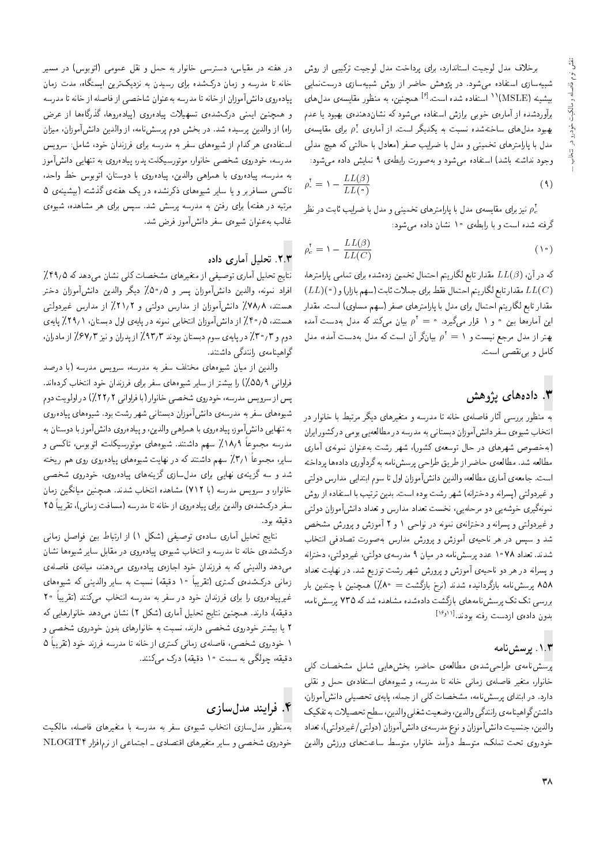برخلاف مدل لوجیت استاندارد، برای پرداخت مدل لوجیت ترکیبی از روش .<br>شبیهسازی استفاده میشود. در پژوهش حاضر از روش شبیهسازی درست.نمایی بیشینه (MSLE)<sup>۱۱</sup> استفاده شده است.<sup>[۶]</sup> همچنین، به منظور مقایسه**ی مدل**های برآوردشده از آمارهى خوبى برازش استفاده مى شود كه نشاندهندهى بهبود يا عدم بهبود مدل(های ساختهشده نسبت به یکدیگر است. از آماره $\rho^*_*$  برای مقایسهی مدل با یارامترهای تخمینی و مدل با ضرایب صفر (معادل با حالتی که هیچ مدلمی وجود نداشته باشد) استفاده مى شود و به صورت رابطهى ٩ نمايش داده مى شود:

$$
\rho_{\circ}^{\dagger} = \mathbf{1} - \frac{LL(\beta)}{LL(\circ)}
$$
\n<sup>(1)</sup>

نیز برای مقایسهی مدل با پارامترهای تخمینی و مدل با ضرایب ثابت در نظر  $\rho_c^{\star}$ گرفته شده است و با رابطهی ۱۰ نشان داده مبیشود:

$$
\rho_c^{\dagger} = \mathbf{1} - \frac{LL(\beta)}{LL(C)} \tag{1\text{-}c}
$$

که در آن،  $LL(\beta)$  مقدار تابع لگاریتم احتمال تخمین زدهشده برای تمامی پارامترها،  $(LL)(\,\textcolor{black}{\bullet}\,)$ مقدار تابع لگاریتم احتمال فقط برای جملات ثابت (سهم بازار) و  $LL(C)$ مقدار تابع لگاریتم احتمال برای مدل با پارامترهای صفر (سهم مساوی) است. مقدار این آمارهها بین • و ۱ قرار میگیرد. • =  $\rho^{\tau} = \rho^{\tau}$  بیان میکند که مدل بهدست آمده بهتر از مدل مرجع نیست و ۱ $\rho^{\rm r} = \rho^{\rm r} = \rho$  بیانگر آن است که مدل بهدست آمده، مدل كامل و بي نقصبي است.

#### ۳. دادههای یژوهش

به منظور بررسی آثار فاصلهی خانه تا مدرسه و متغیرهای دیگر مرتبط با خانوار در انتخاب شیوهی سفر دانش آموزان دبستانی به مدرسه در مطالعهیی بومی درکشور ایران .<br>(بهخصوص شهرهای در حال توسعهی کشور)، شهر رشت بهعنوان نمونهی آماری مطالعه شد. مطالعه ي حاضر از طريق طراحي برسشiامه به گردآوري دادهها برداخته است. جامعه ی آماری مطالعه، والدین دانش آموزان اول تا سوم ابتدایی مدارس دولتی و غیردولتی (بسرانه و دخترانه) شهر رشت بوده است. بدین ترتیب با استفاده از روش نمونهگیری خوشهیی دو مرحلهیی، نخست تعداد مدارس و تعداد دانشآموزان دولتی و غیردولتے و سیرانه و دخترانه ی نمونه در نواحے ( و ۲ آموزش و پرورش مشخص .<br>شد و سپس در هر ناحیهی آموزش و یرورش مدارس بهصورت تصادفی انتخاب شدند. تعداد ۷۸°۱ عدد برسش نامه در میان ۹ مدرسهی دولتی، غیردولتی، دخترانه و پسرانه در هر دو ناحیهی آموزش و پرورش شهر رشت توزیع شد. در نهایت تعداد ۸۵۸ پرسشiامه بازگردانیده شدند (نرخ بازگشت = ۸۰٪) همچنین با چندین بار بررسی تک تک پرسش نامههای بازگشت دادهشده مشاهده شد که ۷۳۵ پرسش نامه، بدون دادهى ازدست رفته بودند. [العطا

#### ١.٣. پرسش نامه

پرسشنامهى طراحى شدهى مطالعهى حاضر، بخش هايى شامل مشخصات كلى خانوار، متغیر فاصلهی زمانی خانه تا مدرسه، و شیوههای استفادهی حمل و نقلبی دارد. در ابتدای پرسشiامه، مشخصات کلی از جمله، پایهی تحصیلی دانشآموزان، داشتن گواهينامهي رانندگي والدين، وضعيت شغلبي والدين، سطح تحصيلات به تفكيك والدین، جنسیت دانش آموزان و نوع مدرسه ی دانش آموزان (دولتی/غیردولتی)، تعداد خودروى تحت تملك، متوسط درآمد خانوار، متوسط ساعتهاى ورزش والدين

در هفته در مقیاس، دسترسی خانوار به حمل و نقل عمومی (اتوبوس) در مسیر خانه تا مدرسه و زمان درکشده برای رسیدن به نزدیکترین ایستگاه، مدت زمان پیادهروی دانشآموزان از خانه تا مدرسه بهعنوان شاخصی از فاصله از خانه تا مدرسه و همچنین ایمنی درکشده، تسهیلات پیادهروی (پیادهروها، گذرگاهها از عرض راه) از والدین پرسیده شد. در بخش دوم پرسشiامه، از والدین دانشآموزان، میزان استفاده ی هر کدام از شیوههای سفر به مدرسه برای فرزندان خود، شامل: سرویس مدرسه، خودروی شخصبی خانوار، موتورسیکلت پدر، پیادهروی به تنهایی دانشآموز به مدرسه، پیادهروی با همراهی والدین، پیادهروی با دوستان، اتوبوس خط واحد، تاکسی مسافربر و یا سایر شیوههای ذکرنشده در یک هفتهی گذشته (بیشینهی ۵ مرتبه در هفته) برای رفتن به مدرسه پرسش شد. سپس برای هر مشاهده، شیوهی غالب به عنوان شیوهی سفر دانش آموز فرض شد.

#### ۲.۳. تحلیل آماری داده

نتایج تحلیل آماری توصیفی از متغیرهای مشخصات کلی نشان میدهد که ۴۹٫۵٪ افراد نمونه، والدين دانشآموزان پسر و ٥/ ٥٥٪ ديگر والدين دانشآموزان دختر هستند، ۷۸٫۸٪ دانشآموزان از مدارس دولتی و ۲۱٫۲٪ از مدارس غیردولتی هستند، ۴۰٫۵٪ از دانش آموزان انتخابی نمونه در پایهی اول دبستان، ۲۹٫۱٪ پایهی دوم و ٣٠/٣٪ در پايهى سوم دبستان بودند ٩٣/٣٪ از پدران و نيز ٤٧/٣٪ از مادران، گواهینامەی رانندگی داشتند.

والدین از میان شیوههای مختلف سفر به مدرسه، سرویس مدرسه (با درصد فراوانی ۵۵٫۹٪) را بیشتر از سایر شیوههای سفر برای فرزندان خود انتخاب کردهاند. پس از سرویس مدرسه، خودروی شخصی خانوار (با فراوانی ۲۲٫۲٪) در اولویت دوم شیوههای سفر به مدرسهی دانشآموزان دبستانی شهر رشت بود. شیوههای پیادهروی به تنهایی دانشآموز، پیادهروی با همراهی والدین، و پیادهروی دانشآموز با دوستان به مدرسه مجموعاً ۱۸٫۹٪ سهم داشتند. شیوههای موتورسیکلت، اتوبوس، تاکسی و سایر، مجموعاً ۳٫۱٪ سهم داشتند که در نهایت شیوههای پیادهروی روی هم ریخته شد و سه گزینهی نهایی برای مدلسازی گزینههای پیادهروی، خودروی شخصی خانوار، و سرویس مدرسه (با ۷۱۲) مشاهده انتخاب شدند. همچنین میانگین زمان سفر درکشدهی والدین برای پیادهروی از خانه تا مدرسه (مسافت زمانی)، تقریباً ۲۵ دقيقه بود.

نتايج تحليل أماري سادهي توصيفي (شكل ١) از ارتباط بين فواصل زماني درکشدهی خانه تا مدرسه و انتخاب شیوهی پیادهروی در مقابل سایر شیوهها نشان می دهد والدینی که به فرزندان خود اجازهی پیادهروی می دهند، میانهی فاصلهی زمانی درکشدهی کمتری (تقریباً ۱۰ دقیقه) نسبت به سایر والدینی که شیوههای غیرپیاده٫وی را برای فرزندان خود در سفر به مدرسه انتخاب میکنند (تقریباً ۲۰ دقیقه)، دارند. همچنین نتایج تحلیل آماری (شکل ۲) نشان میدهد خانوارهایی که ۲ یا بیشتر خودروی شخصی دارند، نسبت به خانوارهای بدون خودروی شخصی و ١ خودروى شخصى، فاصلهى زمانى كمترى از خانه تا مدرسه فرزند خود (تقريباً ٥ دقیقه، چولگی به سمت ۱۰ دقیقه) درک میکنند.

## ۴. فرایند مدل سازی

بهمنظور مدلuاری انتخاب شیوهی سفر به مدرسه با متغیرهای فاصله، مالکیت خودروی شخصی و سایر متغیرهای اقتصادی ـ اجتماعی از نرمافزار NLOGIT۴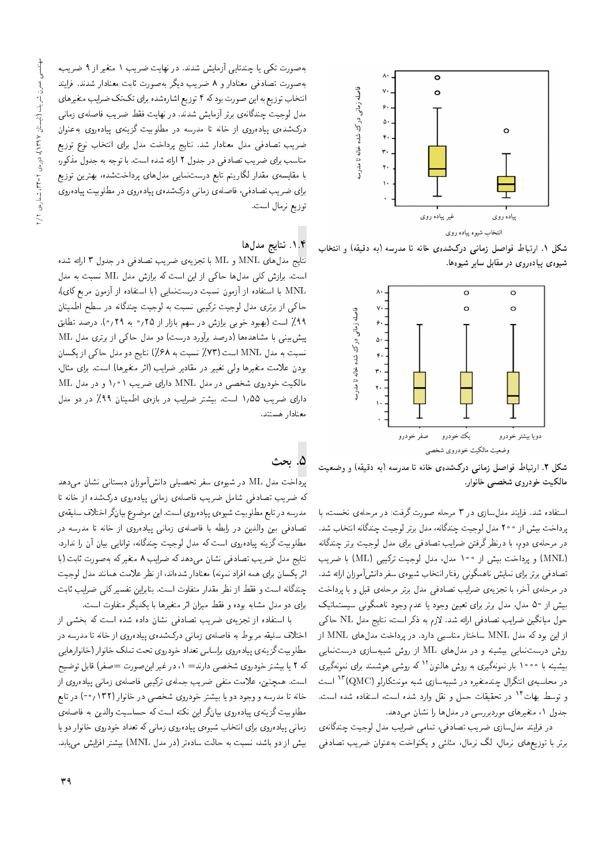

شکل ۱. ارتباط فواصل زمانی درکشدهی خانه تا مدرسه (به دقیقه) و انتخاب شیوهی پیادهروی در مقابل سایر شیوهها.



شکل ۲. ارتباط فواصل زمانی درکشدهی خانه تا مدرسه (به دقیقه) و وضعیت مالکیت خودروی شخصبی خانوار.

استفاده شد. فرایند مدلسازی در ۳ مرحله صورت گرفت: در مرحلهی نخست، با يرداخت بيش از ٢٥٥ مدل لوجيت چندگانه، مدل برتر لوجيت چندگانه انتخاب شد. در مرحلهى دوم، با درنظر گرفتن ضرايب تصادفى براى مدل لوجيت برتر چندگانه (MNL) و يرداخت بيش از ١٠٠ مدل، مدل لوجيت تركيبي (ML) با ضريب تصادفی برتر برای نمایش ناهمگونی رفتار انتخاب شیوهی سفر دانش آموزان ارائه شد. در مرحلهی آخر، با تجزیهی ضرایب تصادفی مدل برتر مرحلهی قبل و با پرداخت بیش از ۵۰ مدل، مدل برتر برای تعیین وجود یا عدم وجود ناهمگونی سیستماتیک حول میانگین ضرایب تصادفی ارائه شد. لازم به ذکر است، نتایج مدل NL حاکی از این بود که مدل MNL ساختار مناسبی دارد. در برداخت مدل های MNL از روش درستنمایی بیشینه و در مدل های ML از روش شبیهسازی درستنمایی بیشینه با ۱۰۰۰ بار نمونهگیری به روش هالتون<sup>۱۲</sup>که روش<sub>می</sub> هوشمند برای نمونهگیری در محاسبه، انتگرال چندمتغیره در شبیهسازی شبه مونتکارلو (QMC)<sup>۱۳</sup> است و توسط بهات<sup>۱۴</sup> در تحقیقات حمل و نقل وارد شده است، استفاده شده است. جدول ۱، متغیرهای موردبررسی در مدل ها را نشان می دهد.

در فرایند مدلسازی ضریب تصادفی، تمامی ضرایب مدل لوجیت چندگانهی برتر با توزیعهای نرمال، لگ نرمال، مثلثی و یکنواخت بهعنوان ضریب تصادفی

به صورت تکی یا چندتایی آزمایش شدند. در نهایت ضریب ١ متغیر از ٩ ضریب، بهصورت تصادفی معنادار و ۸ ضریب دیگر بهصورت ثابت معنادار شدند. فرایند انتخاب توزیع به این صورت بودکه ۴ توزیع اشارهشده برای تک تک ضرایب متغیرهای مدل لوجیت چندگانهی برتر آزمایش شدند. در نهایت فقط ضریب فاصلهی زمانی درکشدهی پیادهروی از خانه تا مدرسه در مطلوبیت گزینهی پیادهروی بهعنوان ضریب تصادفی مدل معنادار شد. نتایج پرداخت مدل برای انتخاب نوع توزیع مناسب برای ضریب تصادفی در جدول ۲ ارائه شده است. با توجه به جدول مذکور، با مقایسه، مقدار لگاریتم تابع درستنمایی مدل۵ای پرداختشده، بهترین توزیع برای ضریب تصادفی، فاصلهی زمانبی درکشدهی پیادهروی در مطلوبیت پیادهروی توزيع نرمال است.

#### ۰۱.۴ نتایج مدلها

نتایج مدل۵ای MNL و ML با تجزیه،ی ضریب تصادفی در جدول ۳ ارائه شده است. برازش کلی مدلها حاکی از این است که برازش مدل ML نسبت به مدل MNL با استفاده از آزمون نسبت درستنمایی (با استفاده از آزمون مربع کای). حاکی از برتری مدل لوجیت ترکیبی نسبت به لوجیت چندگانه در سطح اطمینان ۹۹٪ است (بهبود خوبی برازش در سهم بازار از ۲۵؍۰ به ۲۹؍۰). درصد تطابق پیش بینی با مشاهدهها (درصد برآورد درست) دو مدل حاکمی از برتری مدل ML نسبت به مدل MNL است (۷۳٪ نسبت به ۶۸٪) نتایج دو مدل حاکی از یکسان بودن علامت متغیرها ولی تغییر در مقادیر ضرایب (اثر متغیرها) است. برای مثال، مالکیت خودروی شخصی در مدل MNL دارای ضریب ۱٫۰۱ و در مدل ML دارای ضریب ۱٫۵۵ است. بیشتر ضرایب در بازهی اطمینان ۹۹٪ در دو مدل معنادار هستند.

#### ۵. ىحث

برداخت مدل ML در شیوهی سفر تحصیلی دانشآموزان دبستانی نشان میدهد که ضریب تصادفی شامل ضریب فاصلهی زمانی پیادهروی درکشده از خانه تا مدرسه در تابع مطلوبيت شيوهي پيادهروي است. اين موضوع بيانگر اختلاف سليقهي تصادفی بین والدین در رابطه با فاصلهی زمانی پیادهروی از خانه تا مدرسه در مطلوبیت گزینه پیادهروی است که مدل لوجیت چندگانه، توانایی بیان آن را ندارد. نتايج مدل ضريب تصادفي نشان مى،دهد كه ضرايب ٨ متغيركه بهصورت ثابت (با اثر یکسان برای همه افراد نمونه) معنادار شدهاند، از نظر علامت همانند مدل لوجیت چندگانه است و فقط از نظر مقدار متفاوت است. بنابراین تفسیر کلی ضرایب ثابت برای دو مدل مشابه بوده و فقط میزان اثر متغیرها با یکدیگر متفاوت است.

با استفاده از تجزیهی ضریب تصادفی نشان داده شده است که بخشی از اختلاف سلیقه مربوط به فاصلهی زمانی درکشدهی پیاده روی از خانه تا مدرسه در مطلوبيت گزينهي پيادهروي براساس تعداد خودروي تحت تملك خانوار (خانوارهايي كه ٢ يا بيشتر خودروى شخصى دارند= ١، در غير اين صورت =صفر) قابل توضيح است. همچنین، علامت منفی ضریب جملهی ترکیبی فاصلهی زمانی پیاده روی از خانه تا مدرسه و وجود دو یا بیشتر خودروی شخصی در خانوار (۱۳۲ /۰۰) در تابع مطلوبیت گزینهی پیادهروی بیانگر این نکته است که حساسیت والدین به فاصلهی زمانی پیادهروی برای انتخاب شیوهی پیادهروی زمانی که تعداد خودروی خانوار دو یا بیش از دو باشد، نسبت به حالت سادهتر (در مدل MNL) بیشتر افزایش میlبد.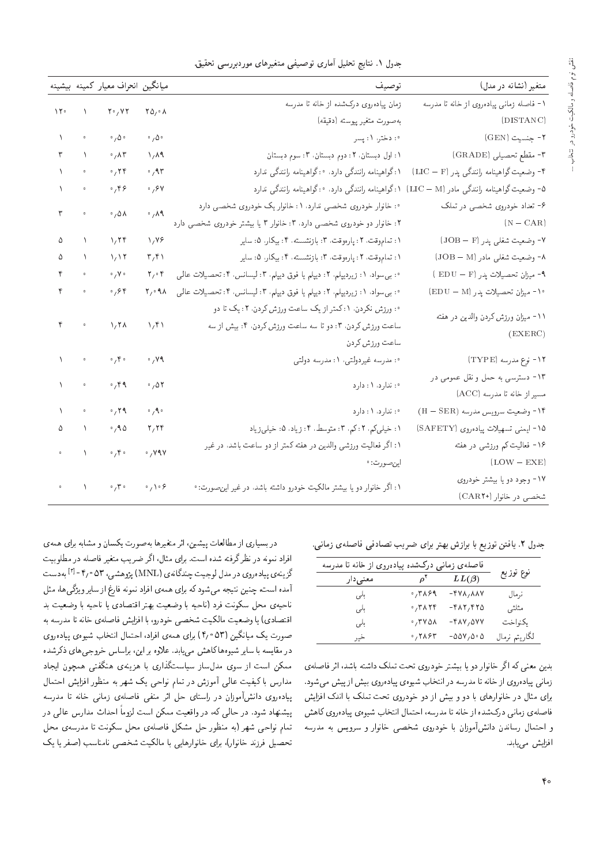| متغیر (نشانه در مدل)                     | توصيف                                                                                           |                                                | ميانگين انحراف معيار كمينه بيشينه                                    |                                                                                    |                                                     |
|------------------------------------------|-------------------------------------------------------------------------------------------------|------------------------------------------------|----------------------------------------------------------------------|------------------------------------------------------------------------------------|-----------------------------------------------------|
| ١- فاصله زمانى پيادهروى از خانه تا مدرسه | زمان پیادهروی درکشده از خانه تا مدرسه                                                           |                                                |                                                                      |                                                                                    |                                                     |
| (DISTANC)                                | بەصورت متغیر پیوسته (دقیقه)                                                                     | $\mathsf{Y}\Delta_{\mathsf{Y}}\circ\mathsf{A}$ | $Y \cdot / YY$                                                       |                                                                                    | $\mathcal{M}^{\circ} = \mathcal{N}$                 |
| <b>۲- جنسیت (GEN)</b>                    | : °: دختر، ۱: پسر                                                                               | $\cdot$ , $\Delta \cdot$                       | $\cdot$ , $\Delta \cdot$                                             |                                                                                    | $\sqrt{\frac{1}{2}}$ .                              |
| ۲- مقطع تحصیلی (GRADE)                   | ١: اول دبستان، ٢: دوم دبستان، ٣: سوم دبستان                                                     | $\sqrt{\Lambda}$                               | .74                                                                  |                                                                                    | $r = \sqrt{ }$                                      |
| ۴- وضعیت گواهینامه رانندگی پدر (LIC – F) | ۰۱ گواهینامه رانندگی دارد. ۰: گواهینامه رانندگی ندارد                                           | $\sigma$ , ۹۳                                  | $\sigma$ ,۲۴                                                         | $\bar{\mathbf{o}}$                                                                 | $\Delta \sim 10^{-1}$                               |
|                                          | ۵- وضعیت گواهینامه رانندگی مادر (LIC – M) ۱: گواهینامه رانندگی دارد. ۰: گواهینامه رانندگی ندارد | $\frac{1}{2}$                                  | 0,99                                                                 |                                                                                    | $\Lambda_{\rm{max}}$ , $\sigma$                     |
| ۶- تعداد خودروی شخصی در تملک             | ۰: خانوار خودروی شخصی ندارد. ۱: خانوار یک خودروی شخصی دارد                                      |                                                |                                                                      |                                                                                    | $\mathbf{r}$ .<br><br>$\mathbf{r}$                  |
| $(N - CAR)$                              | ۲: خانوار دو خودروی شخصی دارد، ۳: خانوار ۳ یا بیشتر خودروی شخصی دارد                            | $\cdot$ , $\lambda$ 9                          | $\cdot$ , $\Delta \Lambda$                                           |                                                                                    |                                                     |
| ۷- وضعیت شغل <sub>ی پ</sub> در (JOB – F) | ١: تماموقت، ٢: پارەوقت، ٣: بازنشسته، ۴: بيكار، ۵: ساير                                          | $\sqrt{17}$                                    | 1.79                                                                 | $\begin{matrix} \Delta & \Delta & \Delta \\ \Delta & \Delta & \Delta \end{matrix}$ |                                                     |
| ۸- وضعیت شغلبی مادر (JOB – M)            | ۱: تماموقت، ۲: پارەوقت، ۳: بازنشسته، ۴: بیکار، ۵: سایر                                          | $\mathbf{r},\mathbf{r}$                        | 1/17                                                                 | $\lambda$                                                                          | ۵                                                   |
| ۹- میزان تحصیلات پدر (EDU – F )          | ۰: بىسواد، ۱: زيرديپلم، ۲: ديپلم يا فوق ديپلم، ۳: ليسانس، ۴: تحصيلات عالمي                      | $\mathbf{Y}_1 \circ \mathbf{Y}$                | $\circ$ / $\vee$ $\circ$                                             |                                                                                    | $\mathfrak{p}$ .                                    |
| ۰۱۰ میزان تحصیلات پدر (EDU – M)          | ٠: بى سواد. ١: زيرديپلم. ٢: ديپلم يا فوق ديپلم. ٣: ليسانس. ۴: تحصيلات عالمي                     | $\mathsf{Y}_1 \circ \mathsf{A} \wedge$         | $\cdot$ , $\epsilon$ $\epsilon$                                      |                                                                                    | $\mathfrak{p}$ .                                    |
|                                          | ۰: ورزش نکردن، ۱: کمتر از یک ساعت ورزش کردن، ۲: یک تا دو                                        |                                                |                                                                      |                                                                                    |                                                     |
| ۱۱- میزان ورزش کردن والدین در هفته       | ساعت ورزش كردن، ٣: دوتا سه ساعت ورزش كردن، ۴: بيش از سه                                         | $\lambda/\mathfrak{k}$                         | 1/7 <sub>A</sub>                                                     | $\mathfrak{p}$ , $\mathfrak{p}$                                                    |                                                     |
| (EXERC)                                  | ساعت ورزش كردن                                                                                  |                                                |                                                                      |                                                                                    |                                                     |
| ۰۱۲ نوع مدرسه (TYPE)                     | ۰: مدرسه غیردولتی، ۱: مدرسه دولتی                                                               | $\cdot$ , $\vee \wedge$                        | $\cdot$ , $\mathfrak{r}$ .                                           |                                                                                    | $\bar{\Lambda}$ , $\bar{\Lambda}$ , $\bar{\Lambda}$ |
| ۱۳- دسترسی به حمل و نقل عمومی در         | $\mathcal{N}: \mathbb{Z} \backslash \mathbb{Z}$ : ندارد                                         | .001                                           | $\cdot$ , $4$                                                        | $\bar{\Delta}$ , $\bar{\Delta}$                                                    |                                                     |
| مسير از خانه تا مدرسه (ACC)              |                                                                                                 |                                                |                                                                      |                                                                                    |                                                     |
| ۰۱۴ وضعیت سرویس مدرسه (H – SER)          | ۰؛ ئ <i>د</i> ارد، ۱؛ دارد                                                                      | $\circ$ $\gamma$ ۹ $\circ$                     | $\cdot$ , ۲۹                                                         | $\sqrt{\frac{1}{2}}$ .                                                             |                                                     |
| ۰۱۵ - ایمنی تسهیلات پیادهروی (SAFETY)    | ۰۱ خیلیکم، ۲:کم، ۳: متوسط، ۴: زیاد، ۵: خیلیزیاد                                                 | $\mathbf{r}, \mathbf{r}$                       | $\cdot$ , 9 $\Delta$                                                 | $\delta \equiv -\lambda$                                                           |                                                     |
| ۱۶- فعالیت کم ورزشی در هفته              | ۱: اگر فعالیت ورزشی والدین در هفته کمتر از دو ساعت باشد. در غیر                                 | $\cdot$ , vav                                  | $\circ$ / $\bar{\mathsf{F}}$ $\circ$                                 | $\epsilon_{\rm{max}} = \sqrt{1 - \epsilon_{\rm{max}}}$                             |                                                     |
| $(LOW - EXE)$                            | اين صورت: •                                                                                     |                                                |                                                                      |                                                                                    |                                                     |
| ۱۷- وجود دو یا بیشتر خودروی              |                                                                                                 |                                                |                                                                      |                                                                                    |                                                     |
| شخصی در خانوار (+CAR۲)                   | ۱: اگر خانوار دو یا بیشتر مالکیت خودرو داشته باشد، در غیر این <i>ص</i> ورت: •                   | $\cdot$ / $\cdot$ ۶                            | $\circ \qquad \qquad \lambda \qquad \qquad \circ \ _{f}\gamma \circ$ |                                                                                    |                                                     |

نقش توام فاصله و مالکیت خودرو در انتخاب ..

جدول ٢. يافتن توزيع با برازش بهتر براى ضريب تصادفي فاصلهى زماني.

| فاصلهی زمانی درکشده پیادهروی از خانه تا مدرسه |                  |             |               |
|-----------------------------------------------|------------------|-------------|---------------|
| معنی دا ر                                     | $\rho^{\dagger}$ | $LL(\beta)$ | نوع توزيع     |
| بلى                                           | ٬٫۳۸۶۹           | -478,887    | نرمال         |
| بلى                                           | $\cdot$ , ۳۸۲۴   | -482,470    | مثلثي         |
| بلى                                           | ٬٫۳۷۵۸           | -487,077    | يكنواخت       |
| خير                                           | ٬٫۲۸۶۳           | - 557, 50   | لكاريتم نرمال |

بدین معنی که اگر خانوار دو یا بیشتر خودروی تحت تملک داشته باشد، اثر فاصلهی زمانی پیادهروی از خانه تا مدرسه در انتخاب شیوهی پیادهروی بیش از پیش می شود. برای مثال در خانوارهای با دو و بیش از دو خودروی تحت تملک با اندک افزایش فاصلهى زمانى دركشده از خانه تا مدرسه، احتمال انتخاب شيوهى پيادهروى كاهش و احتمال رساندن دانشآموزان با خودروی شخصی خانوار و سرویس به مدرسه افزایش می یابد.

در بسیاری از مطالعات پیشین، اثر متغیرها به صورت یکسان و مشابه برای همه ی افراد نمونه در نظرگرفته شده است. برای مثال، اگر ضریب متغیر فاصله در مطلوبیت گزينهي بيادهروي در مدل لوجيت چندگانهي (MNL) بژوهشي، ۵۳ ° (۲ - ۲ بهدست أمده است، چنین نتیجه میشود که برای همهی افراد نمونه فارغ از سایر ویژگی ها، مثل .<br>ناحیهی محل سکونت فرد (ناحیه با وضعیت بهتر اقتصادی یا ناحیه با وضعیت بد اقتصادي) يا وضعيت مالكيت شخصبي خودرو، با افزايش فاصلهي خانه تا مدرسه به صورت یک مبانگین (۵۳ °۴٫) برای همهی افراد، احتمال انتخاب شبوهی بیاده روی در مقایسه با سایر شیوهها کاهش می یابد. علاوه بر این، براساس خروجی های ذکرشده ممکن است از سوی مدل ساز سیاستگذاری با هزینهی هنگفتی همچون ایجاد مدارس باکیفیت عالی آموزش در تمام نواحی یک شهر به منظور افزایش احتمال پیادهروی دانشآموزان در راستای حل اثر منفی فاصلهی زمانی خانه تا مدرسه پیشنهاد شود. در حالبی که، در واقعیت ممکن است لزوماً احداث مدارس عالبی در تمام نواحی شهر (به منظور حل مشکل فاصلهی محل سکونت تا مدرسهی محل تحصیل فرزند خانوار)، برای خانوارهایی با مالکیت شخصی نامناسب (صفر یا یک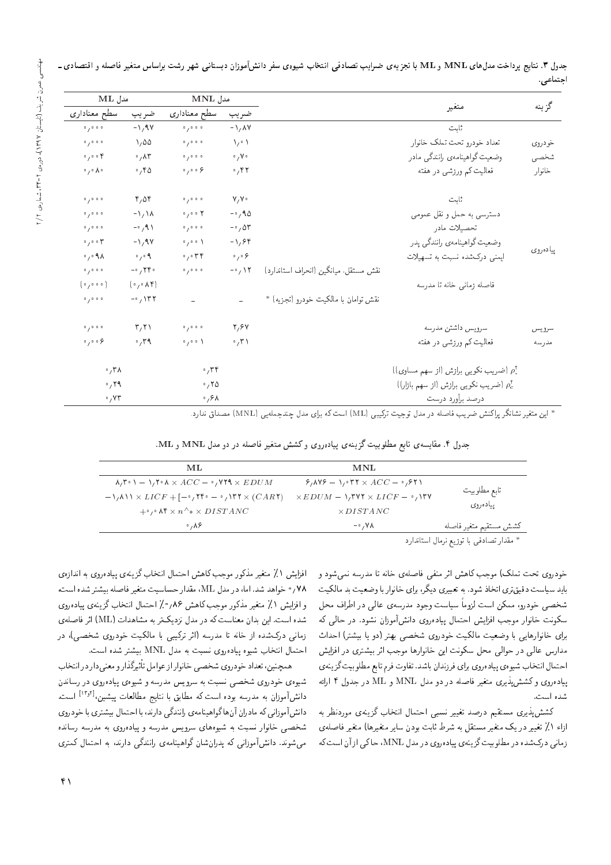|           |                                                    |                                       |                               | MNL مدل                                    |                                          | $\mathbf{ML}$ مدل                  |  |
|-----------|----------------------------------------------------|---------------------------------------|-------------------------------|--------------------------------------------|------------------------------------------|------------------------------------|--|
| گزينه     | متغير                                              |                                       | ضريب                          | سطح معناداري                               | ضريب                                     | سطح معنادارى                       |  |
|           | ثابت                                               |                                       | $-\lambda/\lambda V$          | 0/0.0.0                                    | $-\lambda/9V$                            | 0/0.00                             |  |
| خودروي    | تعداد خودرو تحت تملك خانوار                        |                                       | $\lambda / \cdot \lambda$     | 0/0.0.0                                    | $\sqrt{20}$                              | 0/200                              |  |
| شخصی      | وضعیت گواهینامەی رانندگی مادر                      |                                       | $\circ$ , $\vee$ $\circ$      | 0/0.0.0                                    | $\cdot$ , $\wedge\uparrow$               | $\circ$ , $\circ$ of               |  |
| خانوار    | فعالیت کم ورزشی در هفته                            |                                       | $\cdot$ ,۴۲                   | $\circ$ $\gamma$ $\circ$ $\circ$ $\circ$   | .780                                     | $\circ$ , $\circ$ $\wedge$ $\circ$ |  |
|           | ثابت                                               |                                       | V/V                           | 0/0.0.0                                    | $r, \Delta r$                            | 0/0.0.0                            |  |
|           | دسترسی به حمل و نقل عمومی                          |                                       | $-0.90$                       | 0/0.07                                     | $-\frac{1}{4}$                           | 0/0.0.0                            |  |
|           | تحصيلات مادر                                       |                                       | $-\circ$ , $\Delta r$         | 0/0.0.0                                    | $-\circ$ / 9 )                           | 0/0.0.0                            |  |
|           | وضعیت گواهینامەی رانندگی یدر                       |                                       | $-1, 94$                      | $\circ$ $\prime$ $\circ$ $\circ$ $\lambda$ | $-1.9V$                                  | $\circ$ , $\circ$ or               |  |
| يياده روى | ایمنی درکشده نسبت به تسهیلات                       |                                       | $\frac{1}{2}$ o $\frac{1}{2}$ | $\cdot$ , $\cdot$ ۳۴                       | $\circ$ / $\circ$ ٩                      | $\cdot$ , $\cdot$ A $\wedge$       |  |
|           |                                                    | نقش مستقل، ميانگين (انحراف استاندارد) | $-\circ$ , $\wedge \wedge$    | 0/0.0.0                                    | $-0.740$                                 | 0/0.0.0                            |  |
|           | فاصله زمانى خانه تا مدرسه                          |                                       |                               |                                            | (0,0)                                    | (0, 0, 0, 0)                       |  |
|           |                                                    | نقش توامان با مالكيت خودرو (تجزيه) *  |                               |                                            | $-$ <sup>o</sup> / $\Upsilon$ $\Upsilon$ | 0/0.0.0                            |  |
| سرويس     | سرويس داشتن مدرسه                                  |                                       | ۲,۶۷                          | 0/0.0.0                                    | $\mathbf{r},\mathbf{r}$                  | 0/0.0.0                            |  |
| مذرسه     | فعالیت کم ورزشی در هفته                            |                                       | $\cdot$ , ۳۱                  | 0/0.01                                     | $\cdot$ , ۳۹                             | $\circ$ , $\circ$ $\circ$ $\circ$  |  |
|           | م (ضریب نکویبی برازش (از سهم مساوی)))              |                                       |                               | $\cdot$ , $\mathsf{r} \mathsf{r}$          |                                          | $\sigma$ , ۳ $\Lambda$             |  |
|           | (ضریب نکویی برازش (از سهم بازار)) $\rho_c^{\rm r}$ |                                       |                               | .70                                        |                                          | .79                                |  |
|           | درصد برأورد درست                                   |                                       |                               | $\cdot$ , $\circ$ $\wedge$                 |                                          | $\cdot$ , $\vee\tau$               |  |

جدول ۳. نتایج پرداخت مدلهای MNL و ML با تجزیهی ضرایب تصادفی انتخاب شیوهی سفر دانشآموزان دبستانی شهر رشت براساس متغیر فاصله و اقتصادی ـ اجتماعه

\* این متغیر نشانگر پراکنش ضریب فاصله در مدل توجیت ترکیبی (ML) است که برای مدل چندجملهیی (MNL) مصداق ندارد.<br>\*

| جدول ۴. مقایسه یتابع مطلوبیت گزینه ی پیادهروی و کشش متغیر فاصله در دو مدل MNL و ML. |  |  |  |  |  |  |  |  |  |  |  |  |  |
|-------------------------------------------------------------------------------------|--|--|--|--|--|--|--|--|--|--|--|--|--|
|-------------------------------------------------------------------------------------|--|--|--|--|--|--|--|--|--|--|--|--|--|

| ML                                                                                                                                     | MNL                                                                   |                                                                                                                 |
|----------------------------------------------------------------------------------------------------------------------------------------|-----------------------------------------------------------------------|-----------------------------------------------------------------------------------------------------------------|
| $\lambda$ , $\mathbf{r} \cdot \mathbf{V} = \lambda$ , $\mathbf{r} \cdot \mathbf{A} \times ACC = \cdot$ , $\mathbf{V}$ ra $\times EDUM$ | $9,409 = 1,077 \times ACC = 0.971$                                    |                                                                                                                 |
| $-1/\lambda$ $\lambda \times LICF + [-\cdot, \mathbf{Y}^{\mathsf{c}} - \cdot, \mathbf{Y}^{\mathsf{r}} \times (CAR \mathbf{Y})$         | $\times EDUM - \sqrt{r}$ $\forall$ $\forall$ $\times$ $LICF - \gamma$ | تابع مطلوبيت                                                                                                    |
| $+$ <sup>o</sup> , $\land$ $\land$ $\times$ $n^{\land} \times$ $DISTANC$                                                               | $\times DISTANC$                                                      | يياده روى                                                                                                       |
| $\cdot$ , $\wedge$ $\circ$                                                                                                             | $-\cdot$ , $V \wedge$                                                 | كشش مستقيم متغير فاصله                                                                                          |
|                                                                                                                                        |                                                                       | and the fact of the fact of the fact of the fact of the fact of the fact of the fact of the fact of the fact of |

مقدار تصادفني با توزيع نرمال استاندارد ×

خودروی تحت تملک) موجب کاهش اثر منفی فاصلهی خانه تا مدرسه نمیشود و<br>باید سیاست دقیقتری اتخاذ شود. به تعبیری دیگر. برای خانوار با وضعیت بد مالکیت باید سیاست دقیق ری انحاد سود. به تعبیری دیدر، برای حانوار با وضعیت بد مالکیت<br>محمد المصدر المصدر می است از مستقیم الله علیه الله علیه الله استقادات المصدر الله استقادات الله علیه الله علیه pLt h=Q]= QO |r=a |xUQOt OwHw CU=}U ,=twRr CU=umtt 'wQOwN |YNW سکونت خانوار موجب افزایش احتمال پیادهروی دانشآموزان نشود. در حالی که برای خانوارهایی با وضعیت مالکیت خودروی شخصی بهتر (دو یا بیشتر) احداث مدارس عالی در حوالی محل سکونت این خانوارها موجب اثر بیشتری در افزایش |حتمال انتخاب شيوهي پيادهروي براي فرزندان باشد. تفاوت فرم تابع مطلوبيت گزينهي يياده روى وكشش يذيرى متغير فاصله در دو مدل MNL و ML در جدول ۴ ارائه شده است.

كشش پذيرى مستقيم درصد تغيير نسبى احتمال انتخاب گزينهى موردنظر به ازاء ۱٪ تغییر در یک متغیر مستقل به شرط ثابت بودن سایر متغیرها) متغیر فاصلهی زماني دركشده در مطلوبيت گزينهي بيادهروي در مدل MNL، حاكي از آن است كه

افزایس ۱ ./ منعیر مددور موجب داهس احتمال اسحاب در بنهی پیاده روی به اندازهی<br>۱۰۰ ۷۸٫ م خواهد شد. اما، در مدل ML، مقدار حساسیت متغیر فاصله بیشتر شده است.<br>از این مدد ۱۸ میلیون از مستقل استفاده ایران بالساد بالمرگ و افزایش ۱٪ متغیر مذکور موجب کاهش ۸۶؍ °٪ احتمال انتخاب گزینهی پیاده روی شده است. این بدان معناست که در مدل نزدیکتر به مشاهدات (ML) اثر فاصلهی زمانی درکشده از خانه تا مدرسه (اثر ترکیبی با مالکیت خودروی شخصی)، در احتمال انتخاب شيوه پيادهروى نسبت به مدل MNL بيشتر شده است.

همچنین، تعداد خودروی شخصی خانوار از عوامل تاتیرددارو معنی دار در انتخاب<br>ا شیوهی خودروی شخصی نسبت به سرویس مدرسه و شیوهی پیادهروی در رساندن دانشآموزان به مدرسه بوده است که مطابق با نتایج مطالعات پیشین،<sup>[۱۳</sup>۰<sup>۱]</sup> است.<br>ایند آمواد کردارا به آمواد استان گرامین استان این مواد دانش آموزانی که مادران آن هاگوا هینامهی رانندگی دارند، با احتمال بیشتری با خودروی شخصی خانوار نسبت به شیوههای سرویس مدرسه و پیادهروی به مدرسه رسانده می شوند. دانشآموزانی که پدران شان گواهینامهی رانندگی دارند، به احتمال کمتری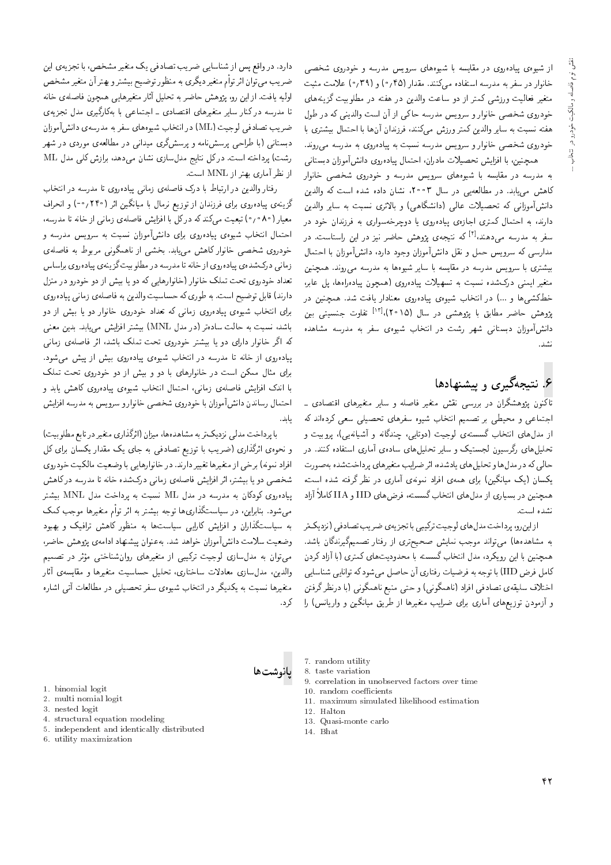از شیوهی پیادهروی در مقایسه با شیوههای سرویس مدرسه و خودروی شخصی<br>خانوار در سفر به مدرسه استفاده مرکنند. مقدار (۰٫۴۵و (۳۹٫م) علامت مثبت متغیر فعالیت ورزشی کمتر از دو ساعت والدین در هفته در مطلوبیت گزینههای |=yxv} Ro C}@wr]t QO xDiy QO u}Or=w Ca=U wO R= QDtm |WRQw C}r=ai Q}eDt حودروی سخصی حانوار و سرویس مدرسه حالی از آن است والدینی له در طول<br>مسیحات استان میکند از این مصر استان استان استان استان هفته نسبت به سایر والدین کمتر ورزش میکنند، فرزندان آنها با احتمال بیشتری با<br>خودروی شخصبی خانوار و سرویس مدرسه نسبت به پیادهروی به مدرسه می<sub>م</sub>روند. حودروی سخصی حانوار و سرویس مدرسه سبب به پیادهروی به مدرسه میروند.<br>مسافر اینکلس اسکان است اسکان اسکان استان اینکلس است.

|v=DU@O u=Rwt;Vv=O |wQxO=}B p=tDL= 'u=QO=t Cq}YLD V}=Ri= =@ 'u}vJty به مدرسه در مقایسه با سیوههای سرویس مدرسه و حودروی سخصبی حانوار<br>۱۷۰۷ - اسکانل این سویس است است و مدرست است. تاهس می باید. در مطالعه یی در سال ۱۳۰۱، ستان داده سده است که والدین<br>این آموزی این محمد این این این گاموزی این داده دانشآموزانی که تحصیلات عالی (دانشگاهی) و بالاتری نسبت به سایر والدین<br>دارند، به احتمال کمتری اجازهی مادهروی با دوجرخهسواری به فرزندان خود در دارند، به احتمال تمتری اجازهی پیادهروی یا دوچرخهسواری به فرزندان خود در<br>سفر به مدرسه مردهندا<sup>19</sup> که نتیجهی بههش حاضر نیز در این راستاست. در سفر به مدرسه می دهند، ۳ نتیجهی پروهس حاصر نیز در این راستاست. در<br>مالی کرده استام استام استام آمانی استام استان آمانی استان p=tDL= =@ u=Rwt;Vv=O 'OQ=O OwHw u=Rwt;Vv=O pkv w ptL T}wQU xm |UQ=Ot u}vJty "OvwQ|t xUQOt x@ =yxw}W Q}=U =@ xU}=kt QO xUQOt T}wQU =@ |QDW}@ متعیر ایمنی درکسده سنبت به سهیلات پیاده روی (همچون پیاده راهقا، پل عابر،<br>مقامی است که است است و است و کلوه است. حصیسی ها و ۱۰۰۰ در اسحاب سیوهی پیادهروی معبادار یافت سد. هیچنین در<br>بژوهش حاضر مطابق با بژوهشی در سال (۲۰۱۵)،<sup>[۱۲]</sup> تفاوت حنسبتی بین پروهس حاصر مصابق با پروهسی در سال (۱۳۰۵)<br>اند آمام ساند و مدت سانتام و مستقبل است. دانس!موزان دبستانی سهر رست در انتخاب سیوهی سفر به مدرسه مساهده<br>... .<br>نشد.

# ۶. نتیجهگیری و پیشنهادها

تاکنون پژوهشگران در بررسی نقش متغیر فاصله و سایر متغیرهای اقتصادی ـ اجتماعی و محیطی بر تصمیم انتخاب شیوه سفرهای تحصیلی سعی کردهاند که<br>از مدلهای انتخاب گسستهی لوجیت (دوتایی، چندگانه و آشیانهیی)، پروبیت و از مدل۱های اسحاب نسستهای نوجیت (دونایی، چندنانه و اسیانهیی)، پروبیت و<br>- با اینکست ؟ QO "Ovvm xO=iDU= |Q=t; |xO=U |=yp}rLD Q}=U w l}DUHr uw}UQoQ |=yp}rLD حالی که در مدلها و تحلیلهای یادشده، اثر ضرایب متغیرهای پرداختشده بهصورت<br>یکسان (یک میانگین) برای همهی افراد نمونهی آماری در نظر گرفته شده است، 'CU= xOW xDiQo Q\_v QO |Q=t; |xvwtv O=Qi= |xty |=Q@ u}ov=}t l} u=Um} همچنین در بسیاری از مدلهای انتخاب گسسته، فرضهای IID و IIA کاملا آزاد<br>مدید ا

نشده است.<br>از این رو، برداخت مدل های لوجیت ترکیبی با تجز بهی ضر بب تصادفی (نزدیک تر از این رو، پرداخت مدل های نوجیت ترکیبی با تجزیهی صریب تصادفی انزدیک تر<br>ماجست المصریات به مساهدهها، می واند موجب نمایس صحیح ری از رفتار نصمیم بیرندنان باسد.<br>است که این کلی از این است که است که است که است که این کلی این کلی در این این کلی در این این کلی در این این کلی همچنین با این رویدرد، مدل اسحاب نسسته با محدودیت های تمتری (با آزاد دردن<br>کاملینی می LIT این محدودیت است. كامل فرض IID) با توجه به فرضيات رفتاري أن حاصل مىشود كه توانايي شناسايي<br>ابن ادنسما بقياس بريان ابن ابنا مان محمد با اختلاف سليقهى تصادفي افراد (ناهمگونى) و حتى منبع ناهمگونى (با درنظرگرفتن و آزمودن توزیعهای آماری برای ضرایب متغیرها از طریق میانگین و واریانس) را

دارد. در واقع پس از سناسایی صریب نصادقی یک متعیر مسحص، با نجزیهی این<br>مسلمان استفاده و توسط مسلمان میشد و توسط مسلمان میشد و توسط مسلمان میشد و توسط مسلمان میشد و توسط مسلمان میشود خبریب می توان اثر توام متعیر دیگری به منظور توضیح بیشترو بهتر آن متغیر مشخص<br>اما مطلب است است اولیه یافت. از این رو، پژوهس حاصر به تحلیل آثار متعیرهایی همچون فاصلهی حاته<br>-استفاده اسکند: استفاده استفاده استفاده اسکانگ ا مدرسه در تمار سایر متعیرهای اقتصادی ـ اجتماعی با بهدارتیری مدل تجزیهی<br>. ضريب تصادفي لوجيت (ML) در انتخاب شيوه هاي سفر به مدرسه ي دانش آموزان دبستانی (با طراحی پرسشنامه و پرسشگری میدانی در مطالعهی موردی در شهر رشت) پرداخته است. در كل نتايج مدلسازى نشان مى دهد، برازش كلى مدل ML از نظر آماری بهتر از MNL است.

رفتار والدین در ارتباط با درک فاصلهی زمانی پیاده روی تا مدرسه در انتخاب گزینهی پیادهروی برای فرزندان از توزیع نرمال با میانگین اثر (۲۴۰؍۰-) و انحراف<br>معیار (۸۰م^) تبعیت مـ,کند که درکل با افزایش فاصلهی زمانـ, از خانه تا مدرسه. احتمال انتخاب شیوهی پیادهروی برای دانشآموزان نسبت به سرویس مدرسه و احتمال اسحاب سيوەی پيادەروی برای دانس/اموزان ستبب به سرويس مدرسه و<br>مسئل است حودروی سخصی حانوار ناهس می باید. بحسی از ناهمدونی مربوط به فاصلهی<br>- ان سرم بن سال اسلسان اسلسان ا زمانی درکشدهی پیادهروی از خانه تا مدرسه در مطلوبیت گزینهی پیادهروی براساس تعداد خودروی تحت تملک خانوار (خانوارهایی که دو یا بیش از دو خودرو در منزل دارند) قابل توضيح است. به طوري كه حساسيت والدين به فاصلهى زماني پيادهروي برای انتخاب شیوهی پیادهروی زمانی که تعداد خودروی خانوار دو یا بیش از دو باشد، نسبت به حالت سادهتر (در مدل MNL) بیشتر افزایش می یابد. بدین معنی كه اگر خانوار داراى دو يا بيشتر خودروى تحت تملك باشد، اثر فاصلهى زمانى یباده روی از خانه تا مدرسه در انتخاب شیوهی پیاده روی بیش از پیش می شود. برای مثال ممکن است در خانوارهای با دو و بیش از دو خودروی تحت تملک<br>با اندک افزایش فاصلهی زمانه، احتمال انتخاب شیوهی بیادهروی کاهش بابد و با امدت افزایس فاصلهی زمانی، احتمال اسحاب سیومی پیاده روی ناهس یابد و<br>اسطال این این امریکه اسلامی احتمال رساندن دانس|موزان با حودروی سخصی حانوار و سرو پس به مدرسه افزایس<br>ا يابد.

با پرداخت مدلی تزدیک تر به مساهدهها، میزان (انزیداری متعیر در تابع مطلوبیت)<br>استراتش از این این است و این سوار است و این مورد است و این این این این این این این و محودی ابرد اری (صریب با نوزیع نصادقی به جای یک مقدار یکسان برای دل<br>ازامه مصر از ایران سیاست و این سیانیا و است و بیر از این سیاست و توانستان افراد نمونه) برخی از متغیرها تغییر دارند. در خانوارهایی با وضعیت مالکیت خودروی<br>شخصبی دو یا بیشتر، اثر افزایش فاصلهی زمانی درکشده خانه تا مدرسه درکاهش Vy=m QO xUQOt =D xv=N xOWlQO |v=tR |xrY=i V}=Ri= QF= 'QDW}@ =} wO |YNW پیاده,روی کودکان به مدرسه در مدل MNL نسبت به پرداخت مدل MNL بیشتر<br>مصدر مطالب استراک است که است و استان است. میشود. بنابراین، در سیاستگذاریها توجه بیشتر به اثر توأم متغیرها موجب کمک<br>به سیاستگذاران و افزایش کارایی سیاستها به منظور کاهش ترافیک و بهبود وضعيت سلامت دانش آموزان خواهد شد. به عنوان پيشنهاد ادامهى يژوهش حاضر، می توان به مدل سازی گوجیت ترکیبی از متغیرهای روان شناختی مؤثر در تصمیم می دوان به مدل سازی کوجیت درنیبی از منعیرهای روان سناحتی موتر در تصمیم<br>-<br>الله مسائل امیر مادلات امتیام مسائل است مسلم الله علی استحداث الله علیه الله والدین، مدل سازی معادلات ساحداری، تحلیل حساسیت متعیرها و مقایسهی آثار<br>.<br>- ساخت استحکام کرد کار مالی است است. متعیرها نسبت به یکدیگر در آمجاب سیوهی سفر تحصیلی در مطالعات آنی اساره<br>بر ک د .



- 1. binomial logit
- 2. multi nomial logit
- 3. nested logit
- 4. structural equation modeling
- 5. independent and identically distributed
- 6. utility maximization
- 7. random utility
- 8. taste variation
- 9. correlation in unobserved factors over time
- 10. random coefficients
- 11. maximum simulated likelihood estimation
- 12. Halton
- 13. Quasi-monte carlo
- 14. Bhat